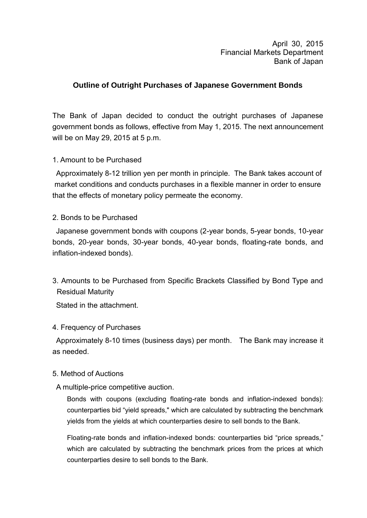April 30, 2015 Financial Markets Department Bank of Japan

# **Outline of Outright Purchases of Japanese Government Bonds**

The Bank of Japan decided to conduct the outright purchases of Japanese government bonds as follows, effective from May 1, 2015. The next announcement will be on May 29, 2015 at 5 p.m.

## 1. Amount to be Purchased

Approximately 8-12 trillion yen per month in principle. The Bank takes account of market conditions and conducts purchases in a flexible manner in order to ensure that the effects of monetary policy permeate the economy.

### 2. Bonds to be Purchased

Japanese government bonds with coupons (2-year bonds, 5-year bonds, 10-year bonds, 20-year bonds, 30-year bonds, 40-year bonds, floating-rate bonds, and inflation-indexed bonds).

3. Amounts to be Purchased from Specific Brackets Classified by Bond Type and Residual Maturity

Stated in the attachment.

### 4. Frequency of Purchases

Approximately 8-10 times (business days) per month. The Bank may increase it as needed.

### 5. Method of Auctions

## A multiple-price competitive auction.

Bonds with coupons (excluding floating-rate bonds and inflation-indexed bonds): counterparties bid "yield spreads," which are calculated by subtracting the benchmark yields from the yields at which counterparties desire to sell bonds to the Bank.

Floating-rate bonds and inflation-indexed bonds: counterparties bid "price spreads," which are calculated by subtracting the benchmark prices from the prices at which counterparties desire to sell bonds to the Bank.